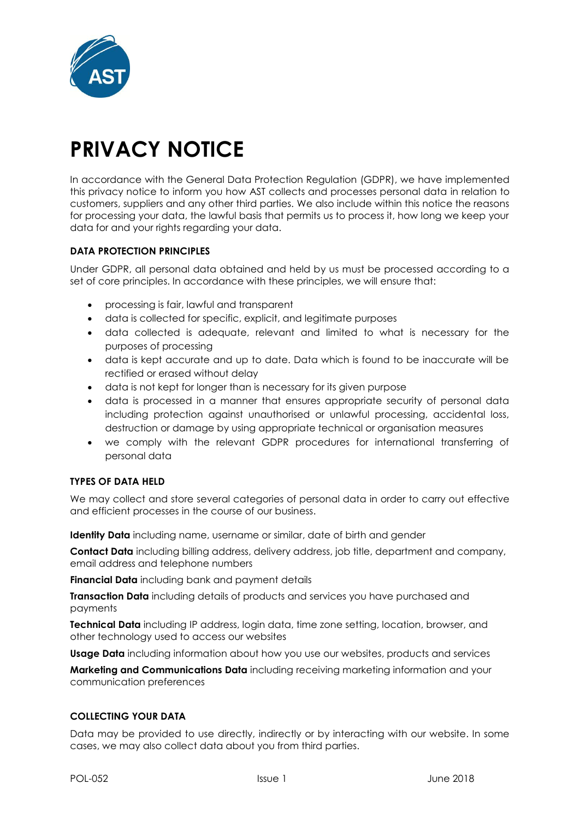

# **PRIVACY NOTICE**

In accordance with the General Data Protection Regulation (GDPR), we have implemented this privacy notice to inform you how AST collects and processes personal data in relation to customers, suppliers and any other third parties. We also include within this notice the reasons for processing your data, the lawful basis that permits us to process it, how long we keep your data for and your rights regarding your data.

# **DATA PROTECTION PRINCIPLES**

Under GDPR, all personal data obtained and held by us must be processed according to a set of core principles. In accordance with these principles, we will ensure that:

- processing is fair, lawful and transparent
- data is collected for specific, explicit, and legitimate purposes
- data collected is adequate, relevant and limited to what is necessary for the purposes of processing
- data is kept accurate and up to date. Data which is found to be inaccurate will be rectified or erased without delay
- data is not kept for longer than is necessary for its given purpose
- data is processed in a manner that ensures appropriate security of personal data including protection against unauthorised or unlawful processing, accidental loss, destruction or damage by using appropriate technical or organisation measures
- we comply with the relevant GDPR procedures for international transferring of personal data

# **TYPES OF DATA HELD**

We may collect and store several categories of personal data in order to carry out effective and efficient processes in the course of our business.

**Identity Data** including name, username or similar, date of birth and gender

**Contact Data** including billing address, delivery address, job title, department and company, email address and telephone numbers

**Financial Data** including bank and payment details

**Transaction Data** including details of products and services you have purchased and payments

**Technical Data** including IP address, login data, time zone setting, location, browser, and other technology used to access our websites

**Usage Data** including information about how you use our websites, products and services

**Marketing and Communications Data** including receiving marketing information and your communication preferences

# **COLLECTING YOUR DATA**

Data may be provided to use directly, indirectly or by interacting with our website. In some cases, we may also collect data about you from third parties.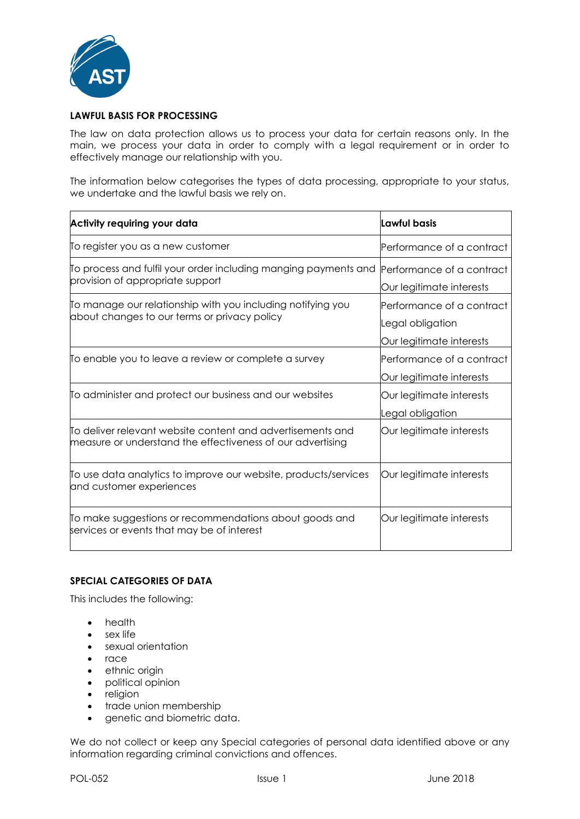

## **LAWFUL BASIS FOR PROCESSING**

The law on data protection allows us to process your data for certain reasons only. In the main, we process your data in order to comply with a legal requirement or in order to effectively manage our relationship with you.

The information below categorises the types of data processing, appropriate to your status, we undertake and the lawful basis we rely on.

| Activity requiring your data                                                                                             | Lawful basis                                                              |
|--------------------------------------------------------------------------------------------------------------------------|---------------------------------------------------------------------------|
| To register you as a new customer                                                                                        | Performance of a contract                                                 |
| To process and fulfil your order including manging payments and<br>provision of appropriate support                      | Performance of a contract<br>Our legitimate interests                     |
| To manage our relationship with you including notifying you<br>about changes to our terms or privacy policy              | Performance of a contract<br>Legal obligation<br>Our legitimate interests |
| To enable you to leave a review or complete a survey                                                                     | Performance of a contract<br>Our legitimate interests                     |
| To administer and protect our business and our websites                                                                  | Our legitimate interests<br>Legal obligation                              |
| To deliver relevant website content and advertisements and<br>measure or understand the effectiveness of our advertising | Our legitimate interests                                                  |
| To use data analytics to improve our website, products/services<br>and customer experiences                              | Our legitimate interests                                                  |
| To make suggestions or recommendations about goods and<br>services or events that may be of interest                     | Our legitimate interests                                                  |

# **SPECIAL CATEGORIES OF DATA**

This includes the following:

- health
- sex life
- sexual orientation
- race
- ethnic origin
- political opinion
- religion
- trade union membership
- genetic and biometric data.

We do not collect or keep any Special categories of personal data identified above or any information regarding criminal convictions and offences.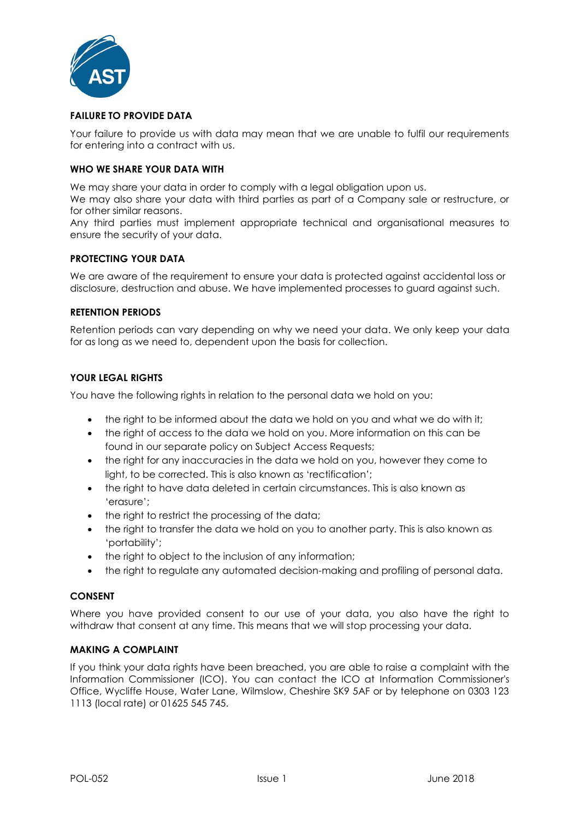

## **FAILURE TO PROVIDE DATA**

Your failure to provide us with data may mean that we are unable to fulfil our requirements for entering into a contract with us.

## **WHO WE SHARE YOUR DATA WITH**

We may share your data in order to comply with a legal obligation upon us.

We may also share your data with third parties as part of a Company sale or restructure, or for other similar reasons.

Any third parties must implement appropriate technical and organisational measures to ensure the security of your data.

## **PROTECTING YOUR DATA**

We are aware of the requirement to ensure your data is protected against accidental loss or disclosure, destruction and abuse. We have implemented processes to guard against such.

## **RETENTION PERIODS**

Retention periods can vary depending on why we need your data. We only keep your data for as long as we need to, dependent upon the basis for collection.

## **YOUR LEGAL RIGHTS**

You have the following rights in relation to the personal data we hold on you:

- the right to be informed about the data we hold on you and what we do with it;
- the right of access to the data we hold on you. More information on this can be found in our separate policy on Subject Access Requests;
- the right for any inaccuracies in the data we hold on you, however they come to light, to be corrected. This is also known as 'rectification';
- the right to have data deleted in certain circumstances. This is also known as 'erasure';
- the right to restrict the processing of the data;
- the right to transfer the data we hold on you to another party. This is also known as 'portability';
- the right to object to the inclusion of any information;
- the right to regulate any automated decision-making and profiling of personal data.

## **CONSENT**

Where you have provided consent to our use of your data, you also have the right to withdraw that consent at any time. This means that we will stop processing your data.

## **MAKING A COMPLAINT**

If you think your data rights have been breached, you are able to raise a complaint with the Information Commissioner (ICO). You can contact the ICO at Information Commissioner's Office, Wycliffe House, Water Lane, Wilmslow, Cheshire SK9 5AF or by telephone on 0303 123 1113 (local rate) or 01625 545 745.